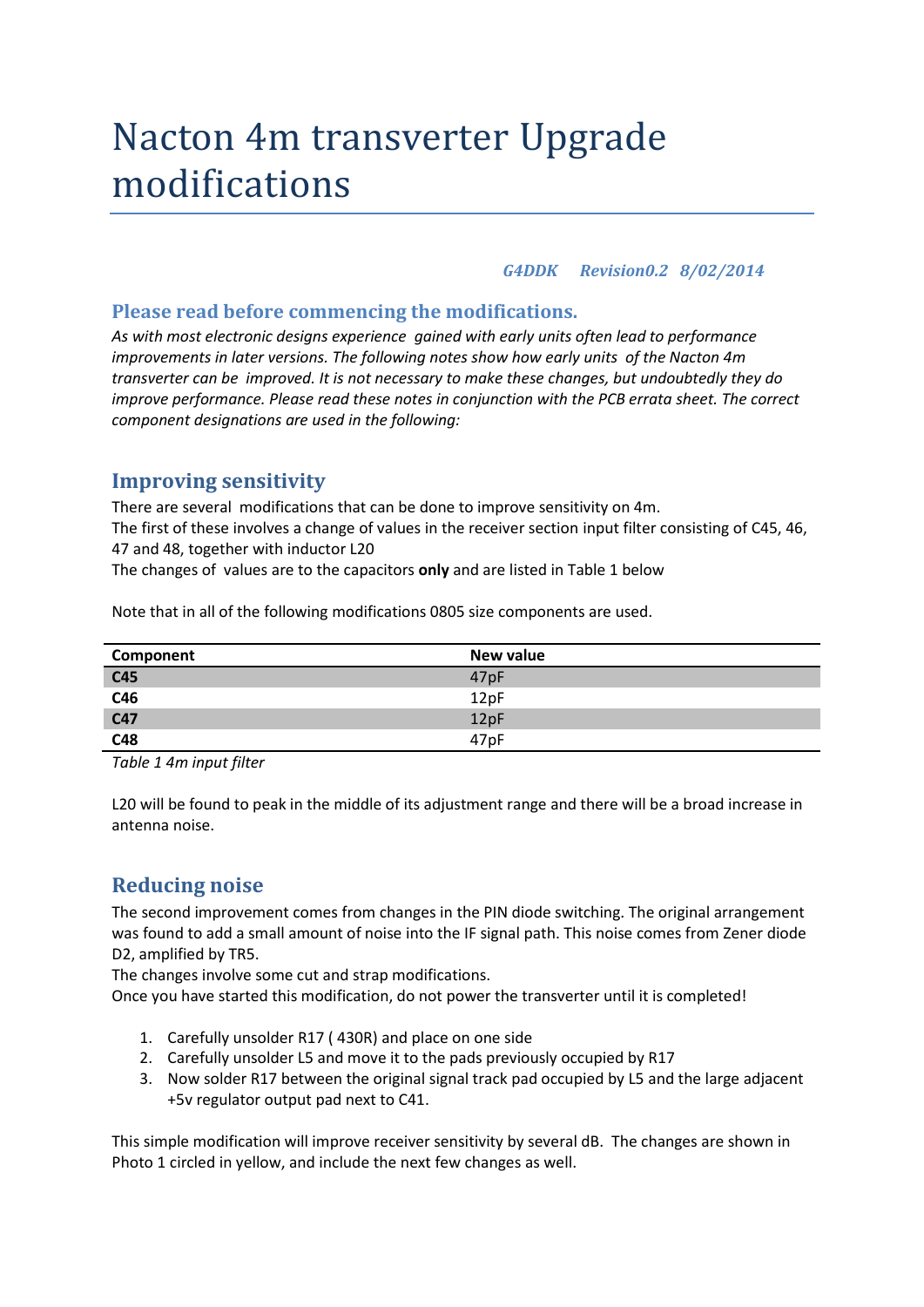# Nacton 4m transverter Upgrade modifications

#### *G4DDK Revision0.2 8/02/2014*

#### **Please read before commencing the modifications.**

*As with most electronic designs experience gained with early units often lead to performance improvements in later versions. The following notes show how early units of the Nacton 4m transverter can be improved. It is not necessary to make these changes, but undoubtedly they do improve performance. Please read these notes in conjunction with the PCB errata sheet. The correct component designations are used in the following:*

## **Improving sensitivity**

There are several modifications that can be done to improve sensitivity on 4m. The first of these involves a change of values in the receiver section input filter consisting of C45, 46, 47 and 48, together with inductor L20

The changes of values are to the capacitors **only** and are listed in Table 1 below

| Component | New value        |
|-----------|------------------|
| C45       | 47pF             |
| C46       | 12pF             |
| C47       | 12pF             |
| C48       | 47 <sub>pF</sub> |

Note that in all of the following modifications 0805 size components are used.

*Table 1 4m input filter* 

L20 will be found to peak in the middle of its adjustment range and there will be a broad increase in antenna noise.

# **Reducing noise**

The second improvement comes from changes in the PIN diode switching. The original arrangement was found to add a small amount of noise into the IF signal path. This noise comes from Zener diode D2, amplified by TR5.

The changes involve some cut and strap modifications.

Once you have started this modification, do not power the transverter until it is completed!

- 1. Carefully unsolder R17 ( 430R) and place on one side
- 2. Carefully unsolder L5 and move it to the pads previously occupied by R17
- 3. Now solder R17 between the original signal track pad occupied by L5 and the large adjacent +5v regulator output pad next to C41.

This simple modification will improve receiver sensitivity by several dB. The changes are shown in Photo 1 circled in yellow, and include the next few changes as well.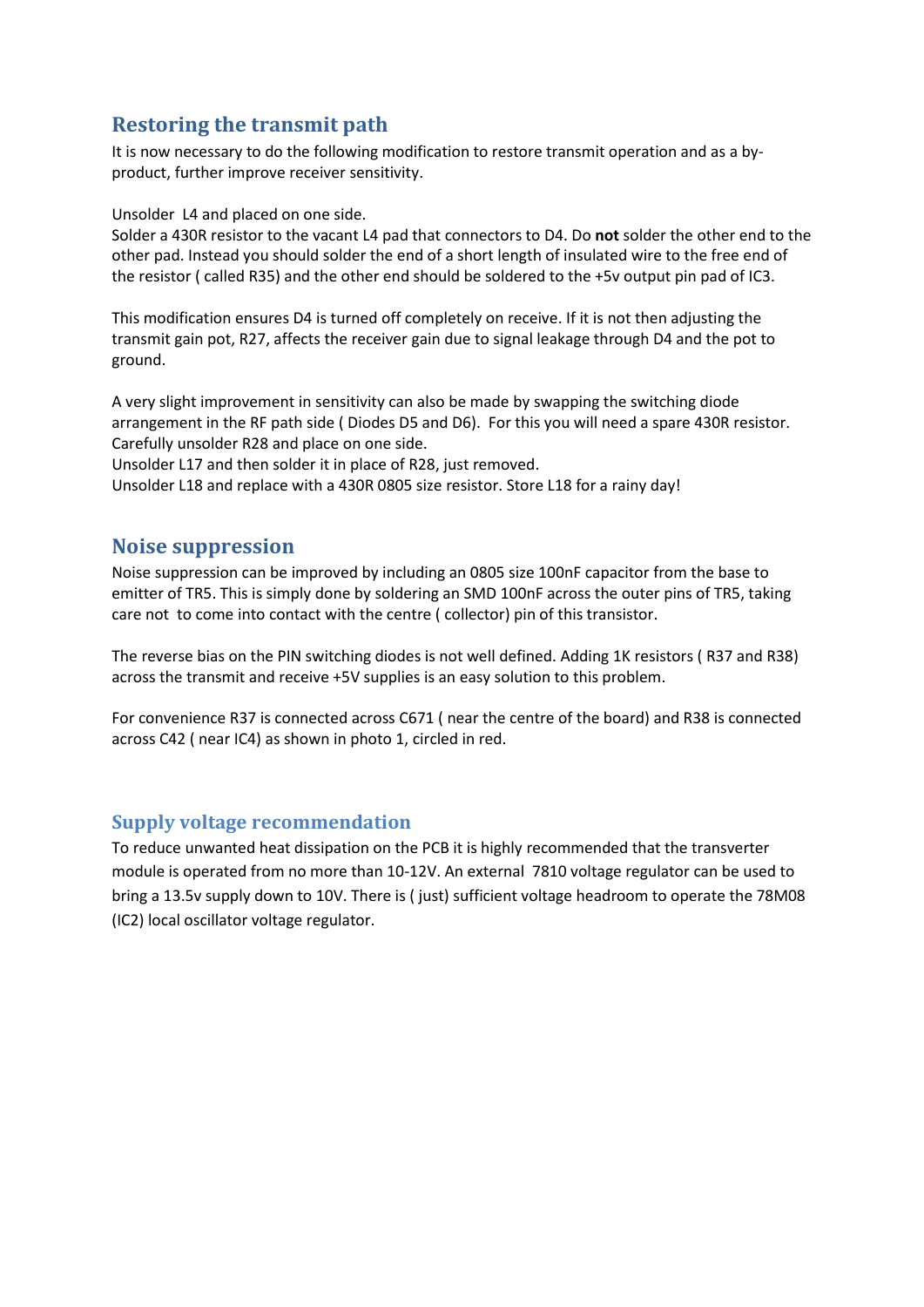## **Restoring the transmit path**

It is now necessary to do the following modification to restore transmit operation and as a byproduct, further improve receiver sensitivity.

Unsolder L4 and placed on one side.

Solder a 430R resistor to the vacant L4 pad that connectors to D4. Do **not** solder the other end to the other pad. Instead you should solder the end of a short length of insulated wire to the free end of the resistor ( called R35) and the other end should be soldered to the +5v output pin pad of IC3.

This modification ensures D4 is turned off completely on receive. If it is not then adjusting the transmit gain pot, R27, affects the receiver gain due to signal leakage through D4 and the pot to ground.

A very slight improvement in sensitivity can also be made by swapping the switching diode arrangement in the RF path side ( Diodes D5 and D6). For this you will need a spare 430R resistor. Carefully unsolder R28 and place on one side.

Unsolder L17 and then solder it in place of R28, just removed.

Unsolder L18 and replace with a 430R 0805 size resistor. Store L18 for a rainy day!

## **Noise suppression**

Noise suppression can be improved by including an 0805 size 100nF capacitor from the base to emitter of TR5. This is simply done by soldering an SMD 100nF across the outer pins of TR5, taking care not to come into contact with the centre ( collector) pin of this transistor.

The reverse bias on the PIN switching diodes is not well defined. Adding 1K resistors ( R37 and R38) across the transmit and receive +5V supplies is an easy solution to this problem.

For convenience R37 is connected across C671 ( near the centre of the board) and R38 is connected across C42 ( near IC4) as shown in photo 1, circled in red.

#### **Supply voltage recommendation**

To reduce unwanted heat dissipation on the PCB it is highly recommended that the transverter module is operated from no more than 10-12V. An external 7810 voltage regulator can be used to bring a 13.5v supply down to 10V. There is ( just) sufficient voltage headroom to operate the 78M08 (IC2) local oscillator voltage regulator.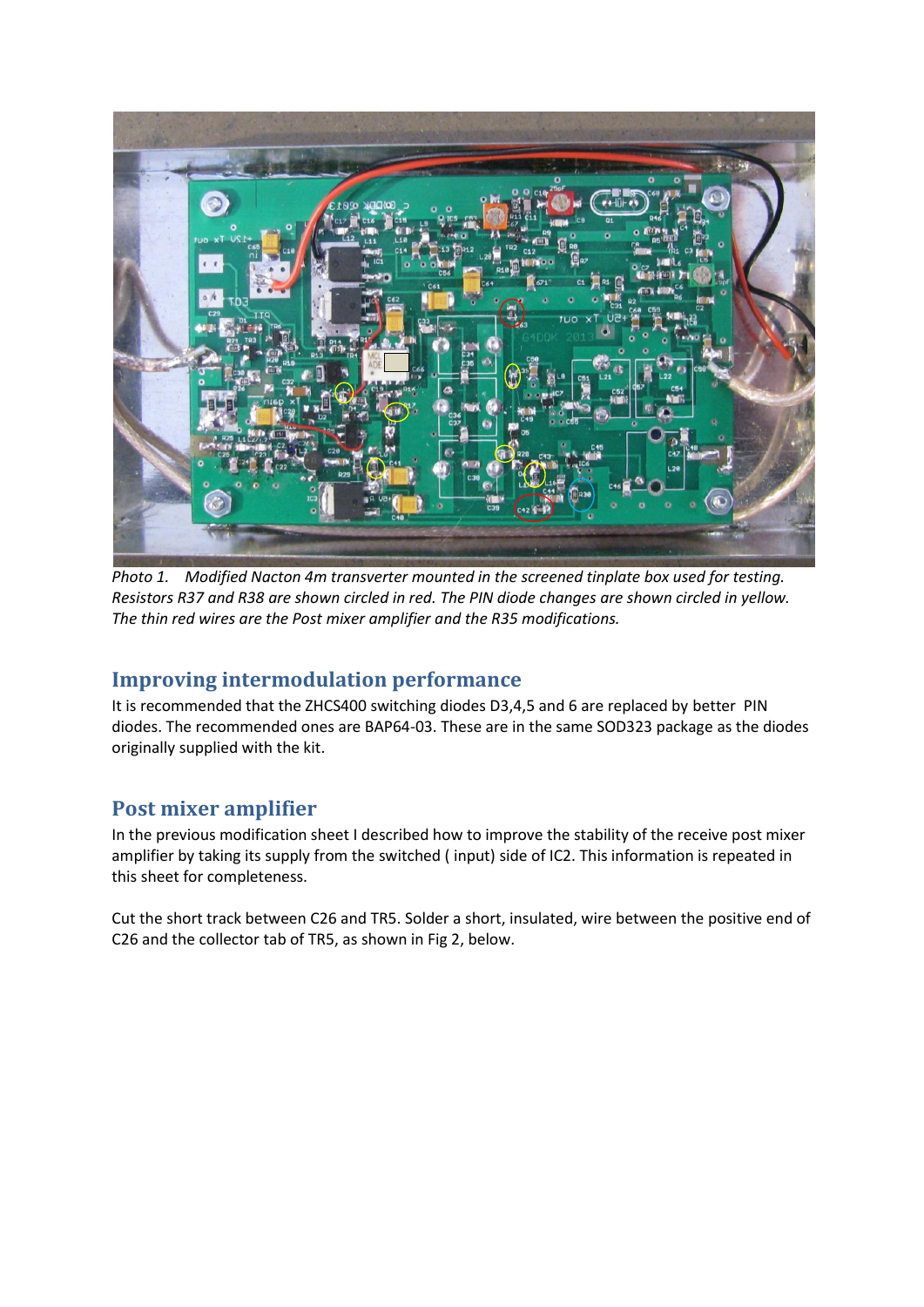

*Photo 1. Modified Nacton 4m transverter mounted in the screened tinplate box used for testing. Resistors R37 and R38 are shown circled in red. The PIN diode changes are shown circled in yellow. The thin red wires are the Post mixer amplifier and the R35 modifications.*

## **Improving intermodulation performance**

It is recommended that the ZHCS400 switching diodes D3,4,5 and 6 are replaced by better PIN diodes. The recommended ones are BAP64-03. These are in the same SOD323 package as the diodes originally supplied with the kit.

# **Post mixer amplifier**

In the previous modification sheet I described how to improve the stability of the receive post mixer amplifier by taking its supply from the switched ( input) side of IC2. This information is repeated in this sheet for completeness.

Cut the short track between C26 and TR5. Solder a short, insulated, wire between the positive end of C26 and the collector tab of TR5, as shown in Fig 2, below.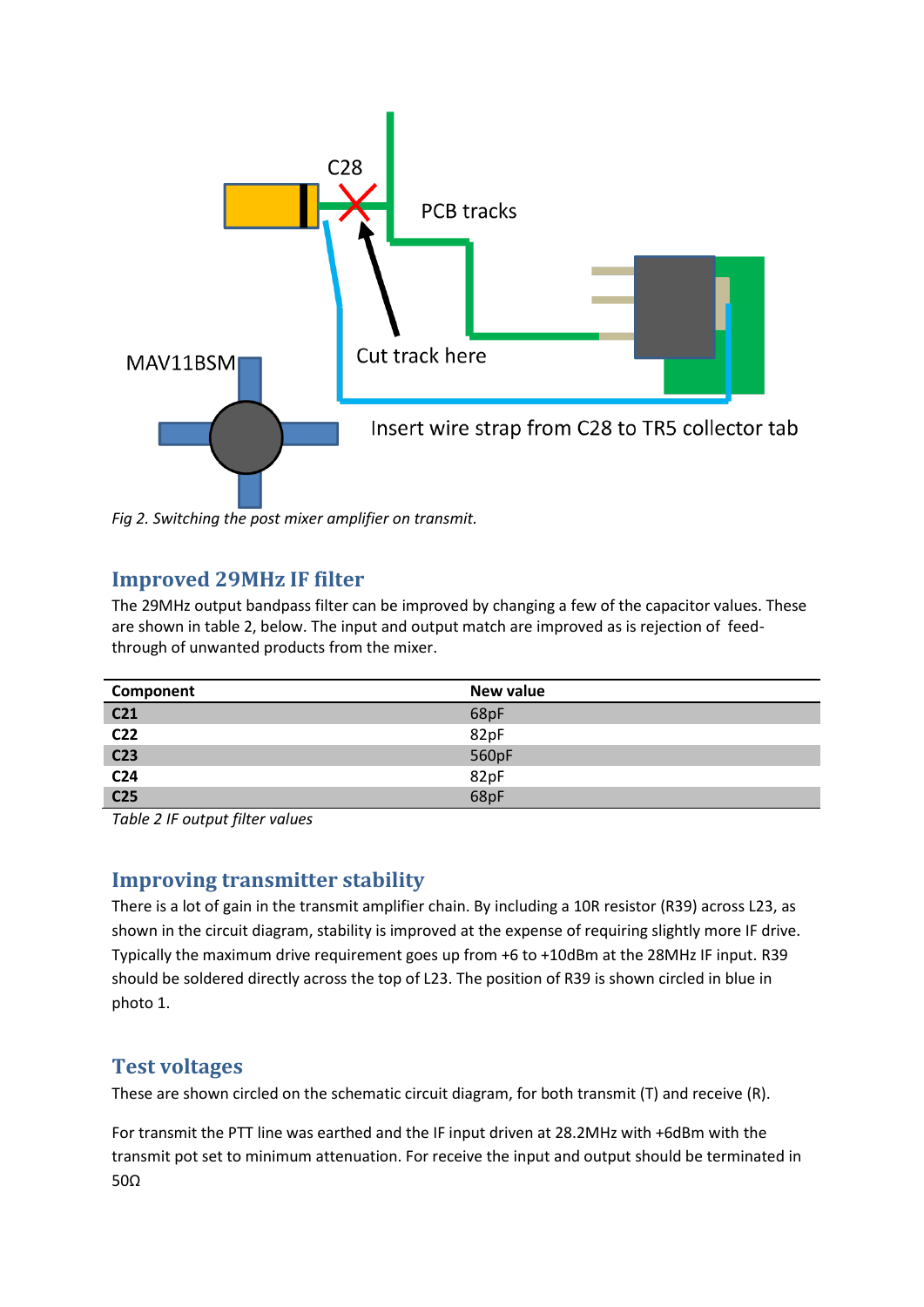

*Fig 2. Switching the post mixer amplifier on transmit.*

# **Improved 29MHz IF filter**

The 29MHz output bandpass filter can be improved by changing a few of the capacitor values. These are shown in table 2, below. The input and output match are improved as is rejection of feedthrough of unwanted products from the mixer.

| Component       | New value |
|-----------------|-----------|
| C <sub>21</sub> | 68pF      |
| C <sub>22</sub> | 82pF      |
| C <sub>23</sub> | 560pF     |
| C <sub>24</sub> | 82pF      |
| C <sub>25</sub> | 68pF      |

*Table 2 IF output filter values*

# **Improving transmitter stability**

There is a lot of gain in the transmit amplifier chain. By including a 10R resistor (R39) across L23, as shown in the circuit diagram, stability is improved at the expense of requiring slightly more IF drive. Typically the maximum drive requirement goes up from +6 to +10dBm at the 28MHz IF input. R39 should be soldered directly across the top of L23. The position of R39 is shown circled in blue in photo 1.

# **Test voltages**

These are shown circled on the schematic circuit diagram, for both transmit (T) and receive (R).

For transmit the PTT line was earthed and the IF input driven at 28.2MHz with +6dBm with the transmit pot set to minimum attenuation. For receive the input and output should be terminated in 50Ω